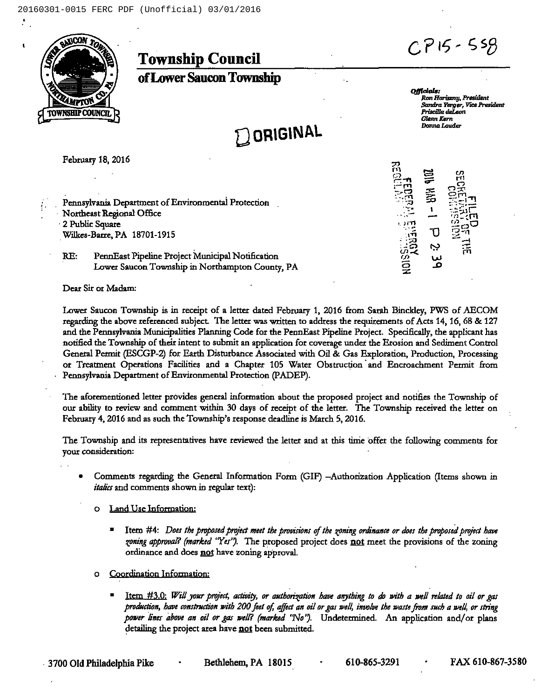



**Township Council** 

of Lower Saucon Township

**DORIGINAL** 

Officials: Ron Horiszny, President Sandra Yerger, Vice President Priscilla deLeon Glenn Kern Donna Louder

Ņ

February 18, 2016

Pennsylvania Department of Environmental Protection Northeast Regional Office 2 Public Square Wilkes-Barre, PA 18701-1915

RE: PennEast Pipeline Project Municipal Notification Lower Saucon Township in Northampton County, PA

Dear Sir or Madam:

Lower Saucon Township is in receipt of a letter dated February 1, 2016 from Sarah Binckley, PWS of AECOM regarding the above referenced subject. The letter was written to address the requirements of Acts 14, 16, 68 & 127 and the Pennsylvania Municipalities Planning Code for the PennEast Pipeline Project. Specifically, the applicant has notified the Township of their intent to submit an application for coverage under the Erosion and Sediment Control General Permit (ESCGP-2) for Earth Disturbance Associated with Oil & Gas Exploration, Production, Processing or Treatment Operations Facilities and a Chapter 105 Water Obstruction and Encroachment Permit from Pennsylvania Department of Environmental Protection (PADEP).

The aforementioned letter provides general information about the proposed project and notifies the Township of our ability to review and comment within 30 days of receipt of the letter. The Township received the letter on February 4, 2016 and as such the Township's response deadline is March 5, 2016.

The Township and its representatives have reviewed the letter and at this time offer the following comments for your consideration:

- Comments regarding the General Information Form (GIF) -Authorization Application (Items shown in *italics* and comments shown in regular text):
	- Land Use Information:  $\circ$ 
		- Itern #4: Does the proposed project meet the provisions of the zoning ordinance or does the proposed project have zoning approval? (marked "Yes"). The proposed project does not meet the provisions of the zoning ordinance and does not have zoning approval.
	- o Coordination Information:
		- Item #3.0: Will your project, activity, or authorization have anything to do with a well related to oil or gas production, have construction with 200 feet of, affect an oil or gas well, involve the waste from such a well, or string power lines above an oil or gas well? (marked 'No'). Undetermined. An application and/or plans detailing the project area have not been submitted.

- 3700 Old Philadelphia Pike

Bethlehem, PA 18015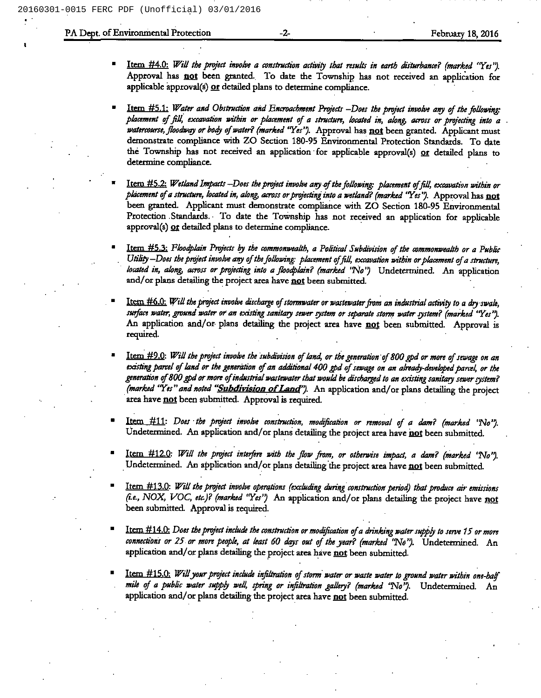## PA Dept. of Environmental Protection **February 18, 2016** February 18, 2016

- ltem #4.0: Will the project involve a construction activity that results in earth disturbance? (marked "Yes"). Approval has not been granted. To date the Township has not received an application for applicable approval(s) or detailed plans to determine compliance.
- Item #5.1: Water and Obstruction and Encroachment Projects -Does the project involve any of the following: placement of fill, excavation within or placement of a structure, located in, along, across or projecting into a watercourse, floodway or body of water? (marked "Yes"). Approval has not been granted. Applicant must demonstrate compliance with ZO Section 180-95 Environmental Protection Standatds. To date the Township has not received an application for applicable approval(s) or detailed plans to determine compliance.
- Item #5.2: Wetland Impacts –Does the project involve any of the following: placement of fill, excavation within or placement of a structure, located in, along, across or projecting into a wetland? (marked 'Yes''). Approval has not been granted. Applicant must demonstrate compliance with ZO Section 180-95 Environmental Protection Standards. To date the Township has not received an application for applicable approval(s)  $Qf$  detailed plans to determine compliance.
- Item #5.3: Floodplain Projects by the commonwealth, a Political Subdivision of the commonwealth or a Public Utility –Does the project involve any of the following: placement of fill, excavation within or placement of a structure, located in, along, across or projecting into a floodplain? (marked 'No') Undetermined. An application and/or plans detailing the project area have not been submitted.
- Item  $\#6.0$ : Will the project involve discharge of stormwater or wastewater from an industrial activity to a dry swale, surface water, ground water or an existing sanitary sewer system or separate storm water system? (marked "Yes"). An application and/or plans detailing the project area have not been submitted. Approval is required.
- Item #9.0: Will the project involve the subdivision of land, or the generation of 800 gpd or more of sewage on an existing parcel of land or the generation of an additional 400 gpd of sewage on an already-developed parcel, or the generation of 800 gpd or more of industrial wastewater that would be discharged to an existing sanitary sewer system? (marked "Yes" and noted "Subdivision of Land"). An application and/or plans detailing the project area have not been submitted. Approval is required.
- Item #11: Does the project involve construction, modification or removal of a dam? (marked 'No''). Undetermined. An application and/or plans detailing the project area have not been submitted.
- Item #12.0: Will the project interfere with the flow from, or otherwise impact, a dam? (marked 'No''). Undetermined. An application and/or plans detailing the project area have not been submitted.
- Item #13.0: Will the project involve operations (excluding during construction period) that produce air emissions (i.e., NOX, VOC, etc.)? (marked "Yes") An application and/or plans detailing the project have not been submitted. Approval is required.
- Item #14.0: Does the project include the construction or modification of a drinking water supply to serve 15 or more connections or 25 or more people, at least 60 days out of the year? (marked 'No''). Undetermined. An application and/or plans detailing the project area have not been submitted.
- Item #15.0: Will your project include infiltration of storm water or waste water to ground water within one-half mile of a public water supply well, spring or infiltration gallery? (marked 'No''). Undetermined. An application and/or plans detailing the project area have not been submitted.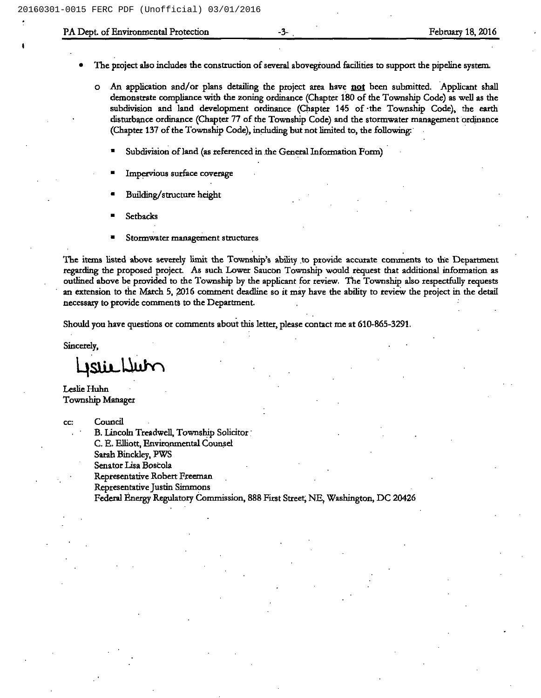## PA Dept. of Environmental Protection February 18, 2016

- The project also includes the construction of several aboveground facilities to support the pipeline system.
	- o An application and/or plans detailing the project area have not been submitted. Applicant shall demonstrate compliance with the zoning ordinance (Chapter 180 of the Township Code) as well as the subdivision and land development ordinance (Chapter 145 of the Township Code), the earth disturbance ordinance (Chapter 77 of the Township Code) and the stormwater management ordinance (Chapter 137 of the Township Code), including but not limited to, the following:
		- Subdivision of land (as referenced in the General Information Form)
		- Impervious surface coverage
		- Building/structure height
		- ~ Setbacks
		- Stormwater management structures

The items listed above severely limit the Township's abihty to provide accurate comments to the Department regarding the proposed project. As such Lowet Saucon Township would request that additional information as outhned above be provided to the Township by the applicant for review. The Township also respectfully requests an extension to the Match 5, 2016 comment deadline so it may have the ability to review the project in the detail necessary to provide comments to the Department.

Should you have questions or comments about this lettet, please contact me at 610-865-3291.

Sincerely,

Jstie Lub

Leslie Huhn Township Manager

cc: Council

B.Lincoln Treadwell, Township Solicitor C.E.Elliott, Environmental Counsel

Sarah Binckley, PWS

Senator Lisa Boscola

Representative Robert Freeman

Representative Justin Simmons

Fedetal Energy Regulatory Commission, 888 First Street, NE, Washington, DC 20426